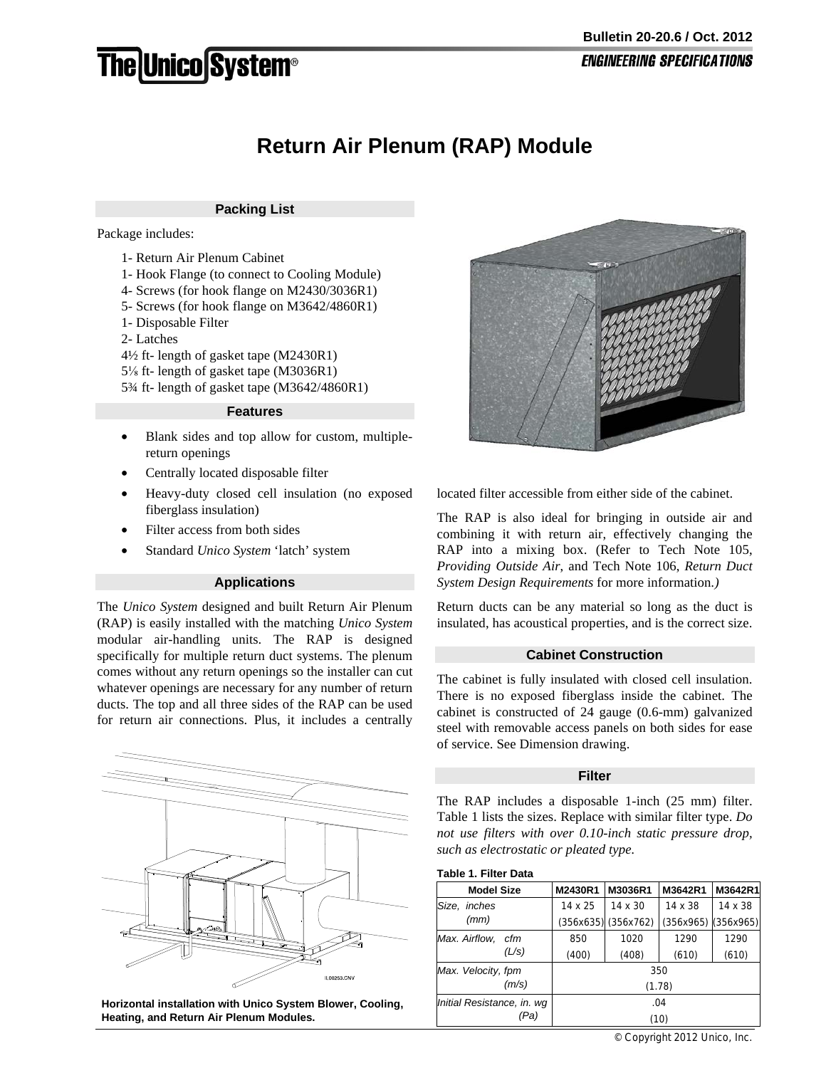# **The Unico System®**

# **Return Air Plenum (RAP) Module**

# **Packing List**

Package includes:

- 1- Return Air Plenum Cabinet
- 1- Hook Flange (to connect to Cooling Module)
- 4- Screws (for hook flange on M2430/3036R1)
- 5- Screws (for hook flange on M3642/4860R1)
- 1- Disposable Filter
- 2- Latches
- 4½ ft- length of gasket tape (M2430R1)
- 5⅛ ft- length of gasket tape (M3036R1)
- 5¾ ft- length of gasket tape (M3642/4860R1)

## **Features**

- Blank sides and top allow for custom, multiplereturn openings
- Centrally located disposable filter
- Heavy-duty closed cell insulation (no exposed fiberglass insulation)
- Filter access from both sides
- Standard *Unico System* 'latch' system

### **Applications**

The *Unico System* designed and built Return Air Plenum (RAP) is easily installed with the matching *Unico System* modular air-handling units. The RAP is designed specifically for multiple return duct systems. The plenum comes without any return openings so the installer can cut whatever openings are necessary for any number of return ducts. The top and all three sides of the RAP can be used for return air connections. Plus, it includes a centrally



**Horizontal installation with Unico System Blower, Cooling, Heating, and Return Air Plenum Modules.**



located filter accessible from either side of the cabinet.

The RAP is also ideal for bringing in outside air and combining it with return air, effectively changing the RAP into a mixing box. (Refer to Tech Note 105, *Providing Outside Air*, and Tech Note 106, *Return Duct System Design Requirements* for more information*.)* 

Return ducts can be any material so long as the duct is insulated, has acoustical properties, and is the correct size.

#### **Cabinet Construction**

The cabinet is fully insulated with closed cell insulation. There is no exposed fiberglass inside the cabinet. The cabinet is constructed of 24 gauge (0.6-mm) galvanized steel with removable access panels on both sides for ease of service. See Dimension drawing.

#### **Filter**

The RAP includes a disposable 1-inch (25 mm) filter. Table 1 lists the sizes. Replace with similar filter type. *Do not use filters with over 0.10-inch static pressure drop, such as electrostatic or pleated type.*

#### **Table 1. Filter Data**

| <b>Model Size</b>          |       | M2430R1        | M3036R1             | M3642R1   | M3642R1        |  |
|----------------------------|-------|----------------|---------------------|-----------|----------------|--|
| Size,<br>inches            |       | $14 \times 25$ | 14 x 30             | 14 x 38   | $14 \times 38$ |  |
| (mm)                       |       |                | (356x635) (356x762) | (356x965) | (356x965)      |  |
| Max. Airflow,              | cfm   | 850            | 1020                | 1290      | 1290           |  |
|                            | (L/s) | (400)          | (408)               | (610)     | (610)          |  |
| Max. Velocity, fpm         |       | 350            |                     |           |                |  |
|                            | (m/s) | (1.78)         |                     |           |                |  |
| Initial Resistance, in. wq |       | .04            |                     |           |                |  |
| 'Pa)                       |       | (10)           |                     |           |                |  |

© Copyright 2012 Unico, Inc.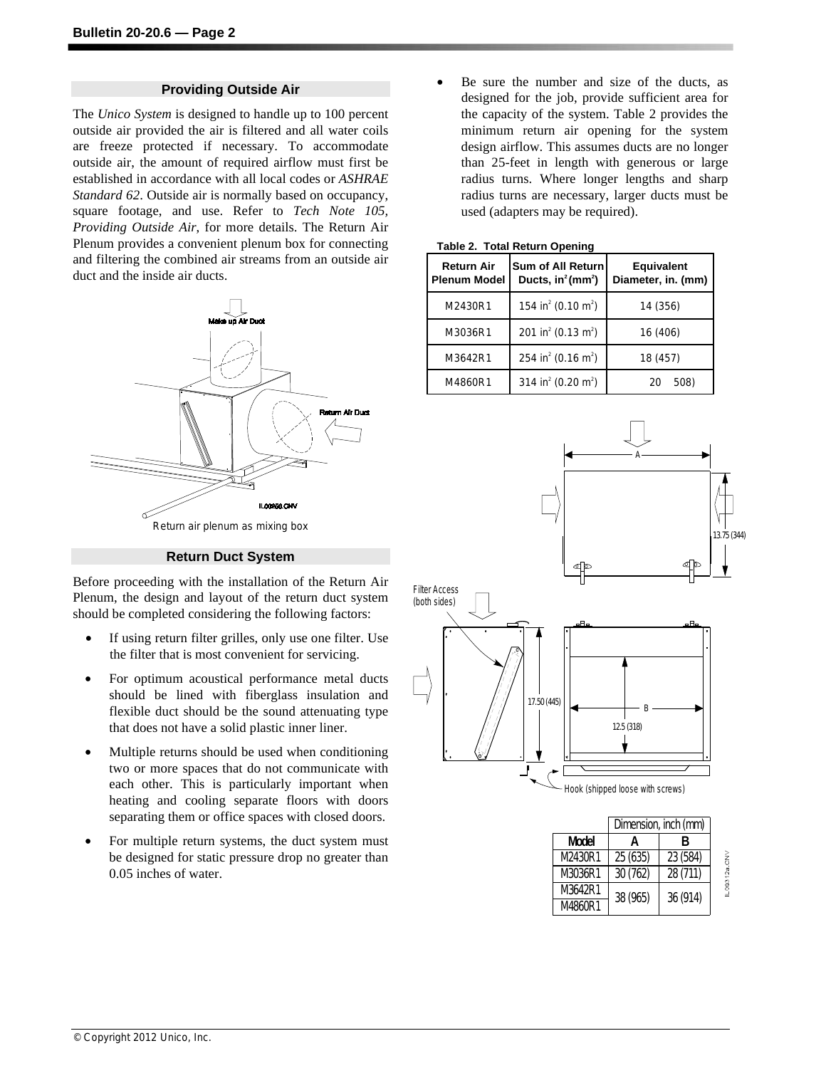# **Providing Outside Air**

The *Unico System* is designed to handle up to 100 percent outside air provided the air is filtered and all water coils are freeze protected if necessary. To accommodate outside air, the amount of required airflow must first be established in accordance with all local codes or *ASHRAE Standard 62*. Outside air is normally based on occupancy, square footage, and use. Refer to *Tech Note 105, Providing Outside Air*, for more details. The Return Air Plenum provides a convenient plenum box for connecting and filtering the combined air streams from an outside air duct and the inside air ducts.



**Return Duct System**

Before proceeding with the installation of the Return Air Plenum, the design and layout of the return duct system should be completed considering the following factors:

- If using return filter grilles, only use one filter. Use the filter that is most convenient for servicing.
- For optimum acoustical performance metal ducts should be lined with fiberglass insulation and flexible duct should be the sound attenuating type that does not have a solid plastic inner liner.
- Multiple returns should be used when conditioning two or more spaces that do not communicate with each other. This is particularly important when heating and cooling separate floors with doors separating them or office spaces with closed doors.
- For multiple return systems, the duct system must be designed for static pressure drop no greater than 0.05 inches of water.

Be sure the number and size of the ducts, as designed for the job, provide sufficient area for the capacity of the system. Table 2 provides the minimum return air opening for the system design airflow. This assumes ducts are no longer than 25-feet in length with generous or large radius turns. Where longer lengths and sharp radius turns are necessary, larger ducts must be used (adapters may be required).

| <b>Return Air</b><br><b>Plenum Model</b> | <b>Sum of All Return</b><br>Ducts, in <sup>2</sup> (mm <sup>2</sup> ) | <b>Equivalent</b><br>Diameter, in. (mm) |  |
|------------------------------------------|-----------------------------------------------------------------------|-----------------------------------------|--|
| M2430R1                                  | 154 in <sup>2</sup> (0.10 m <sup>2</sup> )                            | 14 (356)                                |  |
| M3036R1                                  | 201 in <sup>2</sup> (0.13 m <sup>2</sup> )                            | 16 (406)                                |  |
| M3642R1                                  | 254 in <sup>2</sup> (0.16 m <sup>2</sup> )                            | 18 (457)                                |  |
| M4860R1                                  | 314 in <sup>2</sup> (0.20 m <sup>2</sup> )                            | 508)<br>20                              |  |

#### **Table 2. Total Return Opening**



|              | Dimension, inch (mm) |          |  |
|--------------|----------------------|----------|--|
| <b>Model</b> | Д                    | В        |  |
| M2430R1      | 25 (635)             | 23 (584) |  |
| M3036R1      | 30(762)              | 28 (711) |  |
| M3642R1      | 38 (965)             | 36 (914) |  |
| M4860R1      |                      |          |  |

 $-00312a$ <sub>CN</sub>